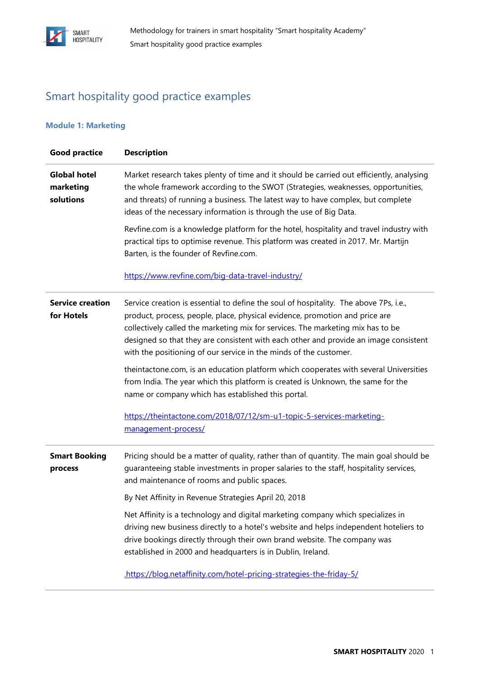

## Smart hospitality good practice examples

### **Module 1: Marketing**

| <b>Good practice</b>                          | <b>Description</b>                                                                                                                                                                                                                                                                                                                                                                                                   |
|-----------------------------------------------|----------------------------------------------------------------------------------------------------------------------------------------------------------------------------------------------------------------------------------------------------------------------------------------------------------------------------------------------------------------------------------------------------------------------|
| <b>Global hotel</b><br>marketing<br>solutions | Market research takes plenty of time and it should be carried out efficiently, analysing<br>the whole framework according to the SWOT (Strategies, weaknesses, opportunities,<br>and threats) of running a business. The latest way to have complex, but complete<br>ideas of the necessary information is through the use of Big Data.                                                                              |
|                                               | Revfine.com is a knowledge platform for the hotel, hospitality and travel industry with<br>practical tips to optimise revenue. This platform was created in 2017. Mr. Martijn<br>Barten, is the founder of Revfine.com.                                                                                                                                                                                              |
|                                               | https://www.revfine.com/big-data-travel-industry/                                                                                                                                                                                                                                                                                                                                                                    |
| <b>Service creation</b><br>for Hotels         | Service creation is essential to define the soul of hospitality. The above 7Ps, i.e.,<br>product, process, people, place, physical evidence, promotion and price are<br>collectively called the marketing mix for services. The marketing mix has to be<br>designed so that they are consistent with each other and provide an image consistent<br>with the positioning of our service in the minds of the customer. |
|                                               | theintactone.com, is an education platform which cooperates with several Universities<br>from India. The year which this platform is created is Unknown, the same for the<br>name or company which has established this portal.                                                                                                                                                                                      |
|                                               | https://theintactone.com/2018/07/12/sm-u1-topic-5-services-marketing-<br>management-process/                                                                                                                                                                                                                                                                                                                         |
| <b>Smart Booking</b><br>process               | Pricing should be a matter of quality, rather than of quantity. The main goal should be<br>guaranteeing stable investments in proper salaries to the staff, hospitality services,<br>and maintenance of rooms and public spaces.                                                                                                                                                                                     |
|                                               | By Net Affinity in Revenue Strategies April 20, 2018                                                                                                                                                                                                                                                                                                                                                                 |
|                                               | Net Affinity is a technology and digital marketing company which specializes in<br>driving new business directly to a hotel's website and helps independent hoteliers to<br>drive bookings directly through their own brand website. The company was<br>established in 2000 and headquarters is in Dublin, Ireland.                                                                                                  |
|                                               | https://blog.netaffinity.com/hotel-pricing-strategies-the-friday-5/                                                                                                                                                                                                                                                                                                                                                  |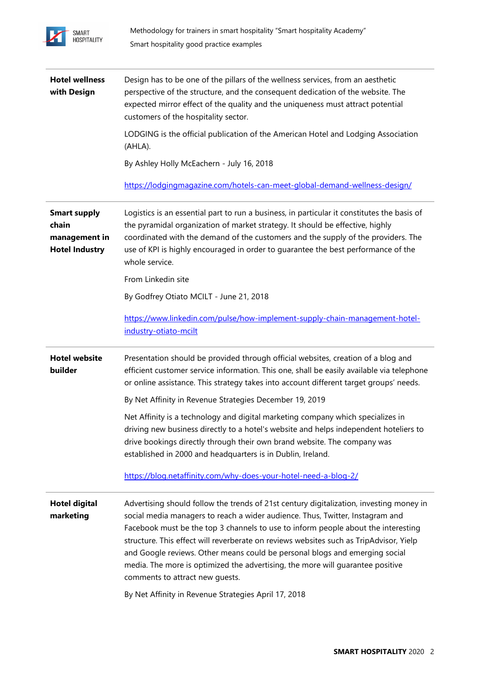

| <b>Hotel wellness</b><br>with Design                                   | Design has to be one of the pillars of the wellness services, from an aesthetic<br>perspective of the structure, and the consequent dedication of the website. The<br>expected mirror effect of the quality and the uniqueness must attract potential<br>customers of the hospitality sector.                                                                                                                                                                                                                                                                                                                       |
|------------------------------------------------------------------------|---------------------------------------------------------------------------------------------------------------------------------------------------------------------------------------------------------------------------------------------------------------------------------------------------------------------------------------------------------------------------------------------------------------------------------------------------------------------------------------------------------------------------------------------------------------------------------------------------------------------|
|                                                                        | LODGING is the official publication of the American Hotel and Lodging Association<br>(AHLA).                                                                                                                                                                                                                                                                                                                                                                                                                                                                                                                        |
|                                                                        | By Ashley Holly McEachern - July 16, 2018                                                                                                                                                                                                                                                                                                                                                                                                                                                                                                                                                                           |
|                                                                        | https://lodgingmagazine.com/hotels-can-meet-global-demand-wellness-design/                                                                                                                                                                                                                                                                                                                                                                                                                                                                                                                                          |
| <b>Smart supply</b><br>chain<br>management in<br><b>Hotel Industry</b> | Logistics is an essential part to run a business, in particular it constitutes the basis of<br>the pyramidal organization of market strategy. It should be effective, highly<br>coordinated with the demand of the customers and the supply of the providers. The<br>use of KPI is highly encouraged in order to guarantee the best performance of the<br>whole service.                                                                                                                                                                                                                                            |
|                                                                        | From Linkedin site                                                                                                                                                                                                                                                                                                                                                                                                                                                                                                                                                                                                  |
|                                                                        | By Godfrey Otiato MCILT - June 21, 2018                                                                                                                                                                                                                                                                                                                                                                                                                                                                                                                                                                             |
|                                                                        | https://www.linkedin.com/pulse/how-implement-supply-chain-management-hotel-<br>industry-otiato-mcilt                                                                                                                                                                                                                                                                                                                                                                                                                                                                                                                |
| <b>Hotel website</b><br>builder                                        | Presentation should be provided through official websites, creation of a blog and<br>efficient customer service information. This one, shall be easily available via telephone<br>or online assistance. This strategy takes into account different target groups' needs.                                                                                                                                                                                                                                                                                                                                            |
|                                                                        | By Net Affinity in Revenue Strategies December 19, 2019                                                                                                                                                                                                                                                                                                                                                                                                                                                                                                                                                             |
|                                                                        | Net Affinity is a technology and digital marketing company which specializes in<br>driving new business directly to a hotel's website and helps independent hoteliers to<br>drive bookings directly through their own brand website. The company was<br>established in 2000 and headquarters is in Dublin, Ireland.                                                                                                                                                                                                                                                                                                 |
|                                                                        | https://blog.netaffinity.com/why-does-your-hotel-need-a-blog-2/                                                                                                                                                                                                                                                                                                                                                                                                                                                                                                                                                     |
| <b>Hotel digital</b><br>marketing                                      | Advertising should follow the trends of 21st century digitalization, investing money in<br>social media managers to reach a wider audience. Thus, Twitter, Instagram and<br>Facebook must be the top 3 channels to use to inform people about the interesting<br>structure. This effect will reverberate on reviews websites such as TripAdvisor, Yielp<br>and Google reviews. Other means could be personal blogs and emerging social<br>media. The more is optimized the advertising, the more will guarantee positive<br>comments to attract new guests.<br>By Net Affinity in Revenue Strategies April 17, 2018 |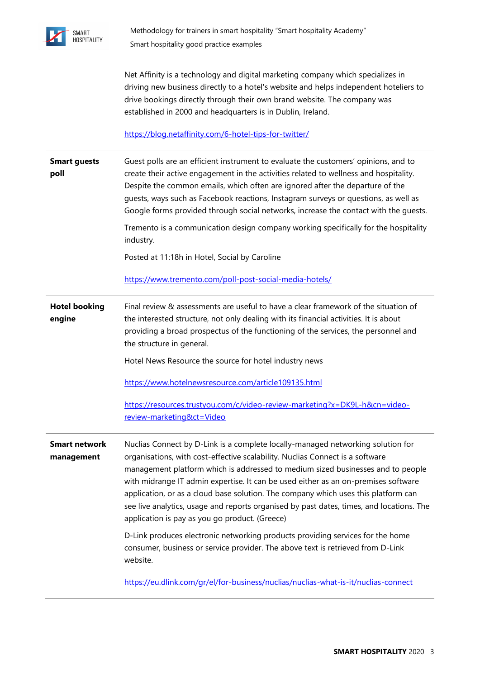

Net Affinity is a technology and digital marketing company which specializes in driving new business directly to a hotel's website and helps independent hoteliers to drive bookings directly through their own brand website. The company was established in 2000 and headquarters is in Dublin, Ireland.

<https://blog.netaffinity.com/6-hotel-tips-for-twitter/>

| <b>Smart guests</b><br>poll        | Guest polls are an efficient instrument to evaluate the customers' opinions, and to<br>create their active engagement in the activities related to wellness and hospitality.<br>Despite the common emails, which often are ignored after the departure of the<br>quests, ways such as Facebook reactions, Instagram surveys or questions, as well as<br>Google forms provided through social networks, increase the contact with the guests.<br>Tremento is a communication design company working specifically for the hospitality<br>industry.                              |
|------------------------------------|-------------------------------------------------------------------------------------------------------------------------------------------------------------------------------------------------------------------------------------------------------------------------------------------------------------------------------------------------------------------------------------------------------------------------------------------------------------------------------------------------------------------------------------------------------------------------------|
|                                    | Posted at 11:18h in Hotel, Social by Caroline                                                                                                                                                                                                                                                                                                                                                                                                                                                                                                                                 |
|                                    | https://www.tremento.com/poll-post-social-media-hotels/                                                                                                                                                                                                                                                                                                                                                                                                                                                                                                                       |
| <b>Hotel booking</b><br>engine     | Final review & assessments are useful to have a clear framework of the situation of<br>the interested structure, not only dealing with its financial activities. It is about<br>providing a broad prospectus of the functioning of the services, the personnel and<br>the structure in general.                                                                                                                                                                                                                                                                               |
|                                    | Hotel News Resource the source for hotel industry news                                                                                                                                                                                                                                                                                                                                                                                                                                                                                                                        |
|                                    | https://www.hotelnewsresource.com/article109135.html                                                                                                                                                                                                                                                                                                                                                                                                                                                                                                                          |
|                                    | https://resources.trustyou.com/c/video-review-marketing?x=DK9L-h&cn=video-                                                                                                                                                                                                                                                                                                                                                                                                                                                                                                    |
|                                    | review-marketing&ct=Video                                                                                                                                                                                                                                                                                                                                                                                                                                                                                                                                                     |
| <b>Smart network</b><br>management | Nuclias Connect by D-Link is a complete locally-managed networking solution for<br>organisations, with cost-effective scalability. Nuclias Connect is a software<br>management platform which is addressed to medium sized businesses and to people<br>with midrange IT admin expertise. It can be used either as an on-premises software<br>application, or as a cloud base solution. The company which uses this platform can<br>see live analytics, usage and reports organised by past dates, times, and locations. The<br>application is pay as you go product. (Greece) |
|                                    | D-Link produces electronic networking products providing services for the home<br>consumer, business or service provider. The above text is retrieved from D-Link<br>website.                                                                                                                                                                                                                                                                                                                                                                                                 |
|                                    | https://eu.dlink.com/gr/el/for-business/nuclias/nuclias-what-is-it/nuclias-connect                                                                                                                                                                                                                                                                                                                                                                                                                                                                                            |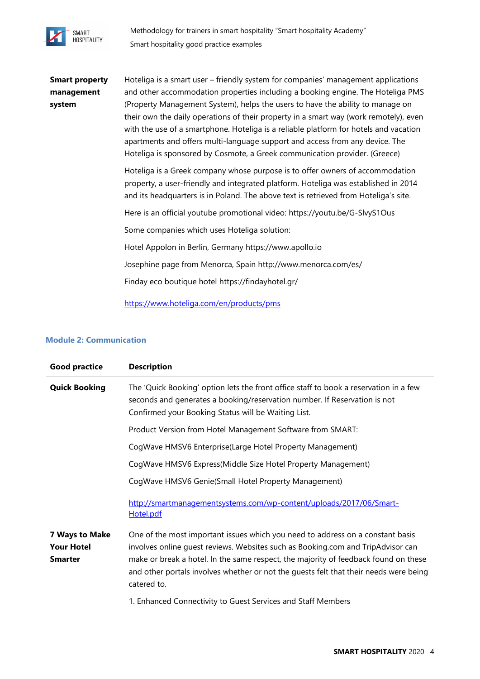

| <b>Smart property</b> | Hoteliga is a smart user – friendly system for companies' management applications                                                                                                                                                                                                                                                                |
|-----------------------|--------------------------------------------------------------------------------------------------------------------------------------------------------------------------------------------------------------------------------------------------------------------------------------------------------------------------------------------------|
| management            | and other accommodation properties including a booking engine. The Hoteliga PMS                                                                                                                                                                                                                                                                  |
| system                | (Property Management System), helps the users to have the ability to manage on<br>their own the daily operations of their property in a smart way (work remotely), even<br>with the use of a smartphone. Hoteliga is a reliable platform for hotels and vacation<br>apartments and offers multi-language support and access from any device. The |
|                       | Hoteliga is sponsored by Cosmote, a Greek communication provider. (Greece)                                                                                                                                                                                                                                                                       |
|                       | Hoteliga is a Greek company whose purpose is to offer owners of accommodation<br>property, a user-friendly and integrated platform. Hoteliga was established in 2014<br>and its headquarters is in Poland. The above text is retrieved from Hoteliga's site.                                                                                     |
|                       | Here is an official youtube promotional video: https://youtu.be/G-SlvyS1Ous                                                                                                                                                                                                                                                                      |
|                       | Some companies which uses Hoteliga solution:                                                                                                                                                                                                                                                                                                     |
|                       | Hotel Appolon in Berlin, Germany https://www.apollo.io                                                                                                                                                                                                                                                                                           |
|                       | Josephine page from Menorca, Spain http://www.menorca.com/es/                                                                                                                                                                                                                                                                                    |
|                       | Finday eco boutique hotel https://findayhotel.gr/                                                                                                                                                                                                                                                                                                |
|                       | https://www.hoteliga.com/en/products/pms                                                                                                                                                                                                                                                                                                         |

### **Module 2: Communication**

| <b>Good practice</b>                                  | <b>Description</b>                                                                                                                                                                                                                                                                                                                                               |
|-------------------------------------------------------|------------------------------------------------------------------------------------------------------------------------------------------------------------------------------------------------------------------------------------------------------------------------------------------------------------------------------------------------------------------|
| <b>Quick Booking</b>                                  | The 'Quick Booking' option lets the front office staff to book a reservation in a few<br>seconds and generates a booking/reservation number. If Reservation is not<br>Confirmed your Booking Status will be Waiting List.                                                                                                                                        |
|                                                       | Product Version from Hotel Management Software from SMART:                                                                                                                                                                                                                                                                                                       |
|                                                       | CogWave HMSV6 Enterprise(Large Hotel Property Management)                                                                                                                                                                                                                                                                                                        |
|                                                       | CogWave HMSV6 Express(Middle Size Hotel Property Management)                                                                                                                                                                                                                                                                                                     |
|                                                       | CogWave HMSV6 Genie(Small Hotel Property Management)                                                                                                                                                                                                                                                                                                             |
|                                                       | http://smartmanagementsystems.com/wp-content/uploads/2017/06/Smart-<br>Hotel.pdf                                                                                                                                                                                                                                                                                 |
| 7 Ways to Make<br><b>Your Hotel</b><br><b>Smarter</b> | One of the most important issues which you need to address on a constant basis<br>involves online quest reviews. Websites such as Booking.com and TripAdvisor can<br>make or break a hotel. In the same respect, the majority of feedback found on these<br>and other portals involves whether or not the quests felt that their needs were being<br>catered to. |
|                                                       | 1. Enhanced Connectivity to Guest Services and Staff Members                                                                                                                                                                                                                                                                                                     |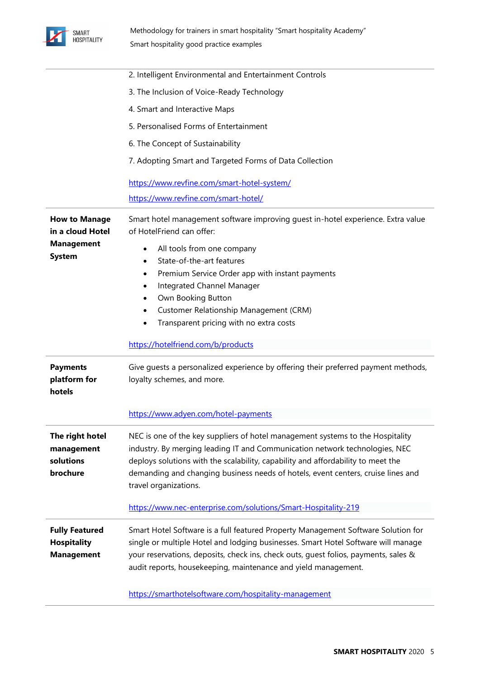

|                                                                  | 2. Intelligent Environmental and Entertainment Controls                                                                                                                                                                                                                                                                                                        |
|------------------------------------------------------------------|----------------------------------------------------------------------------------------------------------------------------------------------------------------------------------------------------------------------------------------------------------------------------------------------------------------------------------------------------------------|
|                                                                  | 3. The Inclusion of Voice-Ready Technology                                                                                                                                                                                                                                                                                                                     |
|                                                                  | 4. Smart and Interactive Maps                                                                                                                                                                                                                                                                                                                                  |
|                                                                  | 5. Personalised Forms of Entertainment                                                                                                                                                                                                                                                                                                                         |
|                                                                  | 6. The Concept of Sustainability                                                                                                                                                                                                                                                                                                                               |
|                                                                  | 7. Adopting Smart and Targeted Forms of Data Collection                                                                                                                                                                                                                                                                                                        |
|                                                                  | https://www.revfine.com/smart-hotel-system/                                                                                                                                                                                                                                                                                                                    |
|                                                                  | https://www.revfine.com/smart-hotel/                                                                                                                                                                                                                                                                                                                           |
| <b>How to Manage</b><br>in a cloud Hotel                         | Smart hotel management software improving guest in-hotel experience. Extra value<br>of HotelFriend can offer:                                                                                                                                                                                                                                                  |
| <b>Management</b>                                                | All tools from one company<br>٠                                                                                                                                                                                                                                                                                                                                |
| <b>System</b>                                                    | State-of-the-art features<br>$\bullet$                                                                                                                                                                                                                                                                                                                         |
|                                                                  | Premium Service Order app with instant payments<br>$\bullet$                                                                                                                                                                                                                                                                                                   |
|                                                                  | Integrated Channel Manager<br>$\bullet$                                                                                                                                                                                                                                                                                                                        |
|                                                                  | Own Booking Button<br>٠                                                                                                                                                                                                                                                                                                                                        |
|                                                                  | Customer Relationship Management (CRM)<br>٠                                                                                                                                                                                                                                                                                                                    |
|                                                                  | Transparent pricing with no extra costs<br>٠                                                                                                                                                                                                                                                                                                                   |
|                                                                  | https://hotelfriend.com/b/products                                                                                                                                                                                                                                                                                                                             |
| <b>Payments</b><br>platform for<br>hotels                        | Give guests a personalized experience by offering their preferred payment methods,<br>loyalty schemes, and more.                                                                                                                                                                                                                                               |
|                                                                  | https://www.adyen.com/hotel-payments                                                                                                                                                                                                                                                                                                                           |
| The right hotel<br>management<br>solutions<br>brochure           | NEC is one of the key suppliers of hotel management systems to the Hospitality<br>industry. By merging leading IT and Communication network technologies, NEC<br>deploys solutions with the scalability, capability and affordability to meet the<br>demanding and changing business needs of hotels, event centers, cruise lines and<br>travel organizations. |
|                                                                  | https://www.nec-enterprise.com/solutions/Smart-Hospitality-219                                                                                                                                                                                                                                                                                                 |
| <b>Fully Featured</b><br><b>Hospitality</b><br><b>Management</b> | Smart Hotel Software is a full featured Property Management Software Solution for<br>single or multiple Hotel and lodging businesses. Smart Hotel Software will manage<br>your reservations, deposits, check ins, check outs, guest folios, payments, sales &<br>audit reports, housekeeping, maintenance and yield management.                                |
|                                                                  | sttps://smartbotolsoftware.com/bospitality.mana                                                                                                                                                                                                                                                                                                                |

<https://smarthotelsoftware.com/hospitality-management>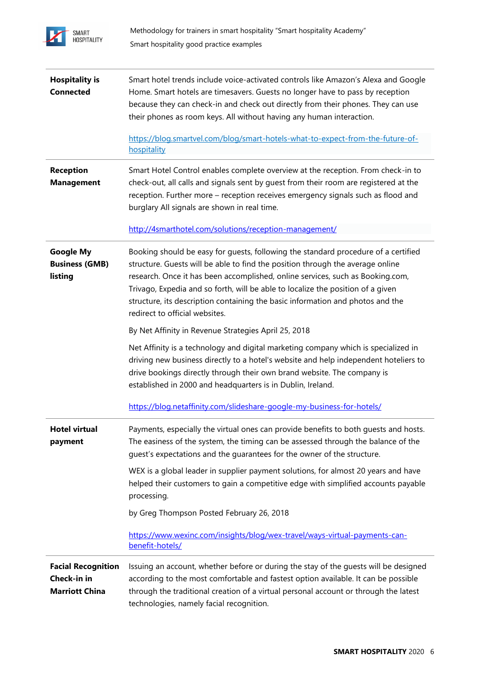

| <b>Hospitality is</b><br><b>Connected</b>                         | Smart hotel trends include voice-activated controls like Amazon's Alexa and Google<br>Home. Smart hotels are timesavers. Guests no longer have to pass by reception<br>because they can check-in and check out directly from their phones. They can use<br>their phones as room keys. All without having any human interaction.                                                                                                                               |
|-------------------------------------------------------------------|---------------------------------------------------------------------------------------------------------------------------------------------------------------------------------------------------------------------------------------------------------------------------------------------------------------------------------------------------------------------------------------------------------------------------------------------------------------|
|                                                                   | https://blog.smartvel.com/blog/smart-hotels-what-to-expect-from-the-future-of-<br>hospitality                                                                                                                                                                                                                                                                                                                                                                 |
| <b>Reception</b><br><b>Management</b>                             | Smart Hotel Control enables complete overview at the reception. From check-in to<br>check-out, all calls and signals sent by guest from their room are registered at the<br>reception. Further more - reception receives emergency signals such as flood and<br>burglary All signals are shown in real time.                                                                                                                                                  |
|                                                                   | http://4smarthotel.com/solutions/reception-management/                                                                                                                                                                                                                                                                                                                                                                                                        |
| <b>Google My</b><br><b>Business (GMB)</b><br>listing              | Booking should be easy for guests, following the standard procedure of a certified<br>structure. Guests will be able to find the position through the average online<br>research. Once it has been accomplished, online services, such as Booking.com,<br>Trivago, Expedia and so forth, will be able to localize the position of a given<br>structure, its description containing the basic information and photos and the<br>redirect to official websites. |
|                                                                   | By Net Affinity in Revenue Strategies April 25, 2018                                                                                                                                                                                                                                                                                                                                                                                                          |
|                                                                   | Net Affinity is a technology and digital marketing company which is specialized in<br>driving new business directly to a hotel's website and help independent hoteliers to<br>drive bookings directly through their own brand website. The company is<br>established in 2000 and headquarters is in Dublin, Ireland.                                                                                                                                          |
|                                                                   | https://blog.netaffinity.com/slideshare-google-my-business-for-hotels/                                                                                                                                                                                                                                                                                                                                                                                        |
| Hotel virtual<br>payment                                          | Payments, especially the virtual ones can provide benefits to both guests and hosts.<br>The easiness of the system, the timing can be assessed through the balance of the<br>quest's expectations and the quarantees for the owner of the structure.                                                                                                                                                                                                          |
|                                                                   | WEX is a global leader in supplier payment solutions, for almost 20 years and have<br>helped their customers to gain a competitive edge with simplified accounts payable<br>processing.                                                                                                                                                                                                                                                                       |
|                                                                   | by Greg Thompson Posted February 26, 2018                                                                                                                                                                                                                                                                                                                                                                                                                     |
|                                                                   | https://www.wexinc.com/insights/blog/wex-travel/ways-virtual-payments-can-<br>benefit-hotels/                                                                                                                                                                                                                                                                                                                                                                 |
| <b>Facial Recognition</b><br>Check-in in<br><b>Marriott China</b> | Issuing an account, whether before or during the stay of the guests will be designed<br>according to the most comfortable and fastest option available. It can be possible<br>through the traditional creation of a virtual personal account or through the latest<br>technologies, namely facial recognition.                                                                                                                                                |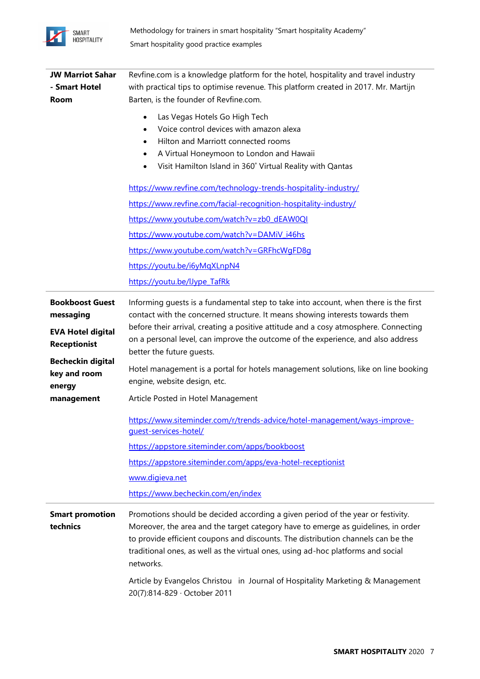

| <b>JW Marriot Sahar</b><br>- Smart Hotel<br><b>Room</b>         | Revfine.com is a knowledge platform for the hotel, hospitality and travel industry<br>with practical tips to optimise revenue. This platform created in 2017. Mr. Martijn<br>Barten, is the founder of Revfine.com.                                                                                                                                       |
|-----------------------------------------------------------------|-----------------------------------------------------------------------------------------------------------------------------------------------------------------------------------------------------------------------------------------------------------------------------------------------------------------------------------------------------------|
|                                                                 | Las Vegas Hotels Go High Tech<br>$\bullet$<br>Voice control devices with amazon alexa<br>٠<br>Hilton and Marriott connected rooms<br>٠<br>A Virtual Honeymoon to London and Hawaii<br>Visit Hamilton Island in 360° Virtual Reality with Qantas                                                                                                           |
|                                                                 | https://www.revfine.com/technology-trends-hospitality-industry/                                                                                                                                                                                                                                                                                           |
|                                                                 | https://www.revfine.com/facial-recognition-hospitality-industry/                                                                                                                                                                                                                                                                                          |
|                                                                 | https://www.youtube.com/watch?v=zb0_dEAW0QI                                                                                                                                                                                                                                                                                                               |
|                                                                 | https://www.youtube.com/watch?v=DAMiV i46hs                                                                                                                                                                                                                                                                                                               |
|                                                                 | https://www.youtube.com/watch?v=GRFhcWqFD8q                                                                                                                                                                                                                                                                                                               |
|                                                                 | https://youtu.be/i6yMqXLnpN4                                                                                                                                                                                                                                                                                                                              |
|                                                                 | https://youtu.be/lJype TafRk                                                                                                                                                                                                                                                                                                                              |
| <b>Bookboost Guest</b><br>messaging<br><b>EVA Hotel digital</b> | Informing guests is a fundamental step to take into account, when there is the first<br>contact with the concerned structure. It means showing interests towards them<br>before their arrival, creating a positive attitude and a cosy atmosphere. Connecting                                                                                             |
| <b>Receptionist</b>                                             | on a personal level, can improve the outcome of the experience, and also address<br>better the future guests.                                                                                                                                                                                                                                             |
| <b>Becheckin digital</b><br>key and room<br>energy              | Hotel management is a portal for hotels management solutions, like on line booking<br>engine, website design, etc.                                                                                                                                                                                                                                        |
| management                                                      | Article Posted in Hotel Management                                                                                                                                                                                                                                                                                                                        |
|                                                                 | https://www.siteminder.com/r/trends-advice/hotel-management/ways-improve-<br>guest-services-hotel/                                                                                                                                                                                                                                                        |
|                                                                 | https://appstore.siteminder.com/apps/bookboost                                                                                                                                                                                                                                                                                                            |
|                                                                 | https://appstore.siteminder.com/apps/eva-hotel-receptionist                                                                                                                                                                                                                                                                                               |
|                                                                 | www.digieva.net                                                                                                                                                                                                                                                                                                                                           |
|                                                                 | https://www.becheckin.com/en/index                                                                                                                                                                                                                                                                                                                        |
| <b>Smart promotion</b><br>technics                              | Promotions should be decided according a given period of the year or festivity.<br>Moreover, the area and the target category have to emerge as guidelines, in order<br>to provide efficient coupons and discounts. The distribution channels can be the<br>traditional ones, as well as the virtual ones, using ad-hoc platforms and social<br>networks. |
|                                                                 | Article by Evangelos Christou in Journal of Hospitality Marketing & Management<br>20(7):814-829 · October 2011                                                                                                                                                                                                                                            |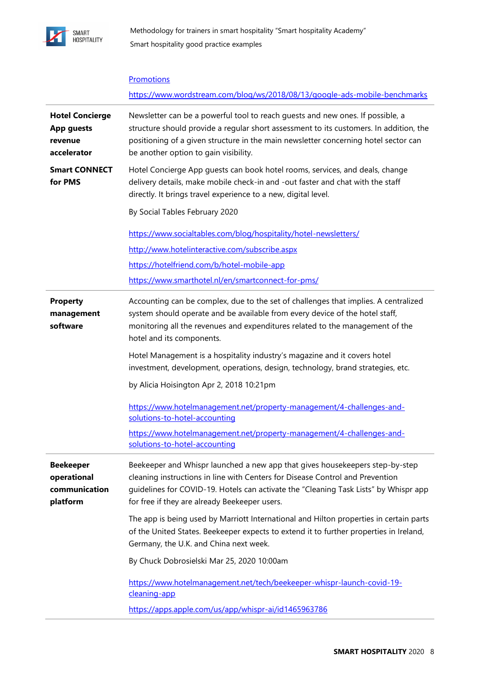

|                                                                       | <b>Promotions</b>                                                                                                                                                                                                                                                                                                                                                                                                                                                                                                                                                                                                                                                                                                                    |
|-----------------------------------------------------------------------|--------------------------------------------------------------------------------------------------------------------------------------------------------------------------------------------------------------------------------------------------------------------------------------------------------------------------------------------------------------------------------------------------------------------------------------------------------------------------------------------------------------------------------------------------------------------------------------------------------------------------------------------------------------------------------------------------------------------------------------|
|                                                                       | https://www.wordstream.com/blog/ws/2018/08/13/google-ads-mobile-benchmarks                                                                                                                                                                                                                                                                                                                                                                                                                                                                                                                                                                                                                                                           |
| <b>Hotel Concierge</b><br><b>App guests</b><br>revenue<br>accelerator | Newsletter can be a powerful tool to reach guests and new ones. If possible, a<br>structure should provide a regular short assessment to its customers. In addition, the<br>positioning of a given structure in the main newsletter concerning hotel sector can<br>be another option to gain visibility.                                                                                                                                                                                                                                                                                                                                                                                                                             |
| <b>Smart CONNECT</b><br>for PMS                                       | Hotel Concierge App guests can book hotel rooms, services, and deals, change<br>delivery details, make mobile check-in and -out faster and chat with the staff<br>directly. It brings travel experience to a new, digital level.                                                                                                                                                                                                                                                                                                                                                                                                                                                                                                     |
|                                                                       | By Social Tables February 2020                                                                                                                                                                                                                                                                                                                                                                                                                                                                                                                                                                                                                                                                                                       |
|                                                                       | https://www.socialtables.com/blog/hospitality/hotel-newsletters/                                                                                                                                                                                                                                                                                                                                                                                                                                                                                                                                                                                                                                                                     |
|                                                                       | http://www.hotelinteractive.com/subscribe.aspx                                                                                                                                                                                                                                                                                                                                                                                                                                                                                                                                                                                                                                                                                       |
|                                                                       | https://hotelfriend.com/b/hotel-mobile-app                                                                                                                                                                                                                                                                                                                                                                                                                                                                                                                                                                                                                                                                                           |
|                                                                       | https://www.smarthotel.nl/en/smartconnect-for-pms/                                                                                                                                                                                                                                                                                                                                                                                                                                                                                                                                                                                                                                                                                   |
| <b>Property</b><br>management<br>software                             | Accounting can be complex, due to the set of challenges that implies. A centralized<br>system should operate and be available from every device of the hotel staff,<br>monitoring all the revenues and expenditures related to the management of the<br>hotel and its components.<br>Hotel Management is a hospitality industry's magazine and it covers hotel<br>investment, development, operations, design, technology, brand strategies, etc.<br>by Alicia Hoisington Apr 2, 2018 10:21pm<br>https://www.hotelmanagement.net/property-management/4-challenges-and-<br>solutions-to-hotel-accounting<br>https://www.hotelmanagement.net/property-management/4-challenges-and-<br>solutions-to-hotel-accounting                    |
| <b>Beekeeper</b><br>operational<br>communication<br>platform          | Beekeeper and Whispr launched a new app that gives housekeepers step-by-step<br>cleaning instructions in line with Centers for Disease Control and Prevention<br>quidelines for COVID-19. Hotels can activate the "Cleaning Task Lists" by Whispr app<br>for free if they are already Beekeeper users.<br>The app is being used by Marriott International and Hilton properties in certain parts<br>of the United States. Beekeeper expects to extend it to further properties in Ireland,<br>Germany, the U.K. and China next week.<br>By Chuck Dobrosielski Mar 25, 2020 10:00am<br>https://www.hotelmanagement.net/tech/beekeeper-whispr-launch-covid-19-<br>cleaning-app<br>https://apps.apple.com/us/app/whispr-ai/id1465963786 |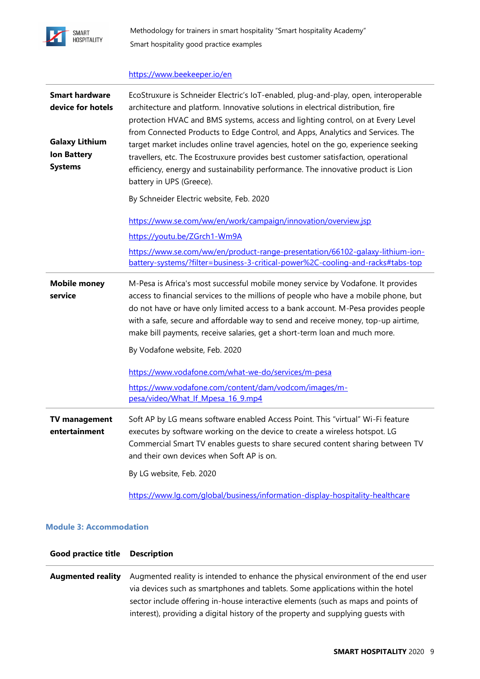

### <https://www.beekeeper.io/en>

| <b>Smart hardware</b><br>device for hotels<br><b>Galaxy Lithium</b><br><b>Ion Battery</b><br><b>Systems</b> | EcoStruxure is Schneider Electric's IoT-enabled, plug-and-play, open, interoperable<br>architecture and platform. Innovative solutions in electrical distribution, fire<br>protection HVAC and BMS systems, access and lighting control, on at Every Level<br>from Connected Products to Edge Control, and Apps, Analytics and Services. The<br>target market includes online travel agencies, hotel on the go, experience seeking<br>travellers, etc. The Ecostruxure provides best customer satisfaction, operational<br>efficiency, energy and sustainability performance. The innovative product is Lion<br>battery in UPS (Greece).<br>By Schneider Electric website, Feb. 2020<br>https://www.se.com/ww/en/work/campaign/innovation/overview.jsp<br>https://youtu.be/ZGrch1-Wm9A<br>https://www.se.com/ww/en/product-range-presentation/66102-galaxy-lithium-ion-<br>battery-systems/?filter=business-3-critical-power%2C-cooling-and-racks#tabs-top |
|-------------------------------------------------------------------------------------------------------------|------------------------------------------------------------------------------------------------------------------------------------------------------------------------------------------------------------------------------------------------------------------------------------------------------------------------------------------------------------------------------------------------------------------------------------------------------------------------------------------------------------------------------------------------------------------------------------------------------------------------------------------------------------------------------------------------------------------------------------------------------------------------------------------------------------------------------------------------------------------------------------------------------------------------------------------------------------|
| <b>Mobile money</b><br>service                                                                              | M-Pesa is Africa's most successful mobile money service by Vodafone. It provides<br>access to financial services to the millions of people who have a mobile phone, but<br>do not have or have only limited access to a bank account. M-Pesa provides people<br>with a safe, secure and affordable way to send and receive money, top-up airtime,<br>make bill payments, receive salaries, get a short-term loan and much more.<br>By Vodafone website, Feb. 2020<br>https://www.vodafone.com/what-we-do/services/m-pesa<br>https://www.vodafone.com/content/dam/vodcom/images/m-<br>pesa/video/What If Mpesa 16 9.mp4                                                                                                                                                                                                                                                                                                                                     |
| <b>TV management</b><br>entertainment                                                                       | Soft AP by LG means software enabled Access Point. This "virtual" Wi-Fi feature<br>executes by software working on the device to create a wireless hotspot. LG<br>Commercial Smart TV enables guests to share secured content sharing between TV<br>and their own devices when Soft AP is on.<br>By LG website, Feb. 2020<br>https://www.lg.com/global/business/information-display-hospitality-healthcare                                                                                                                                                                                                                                                                                                                                                                                                                                                                                                                                                 |

### **Module 3: Accommodation**

| <b>Good practice title Description</b> |                                                                                                                                                                                                                                                                                                                                               |
|----------------------------------------|-----------------------------------------------------------------------------------------------------------------------------------------------------------------------------------------------------------------------------------------------------------------------------------------------------------------------------------------------|
| <b>Augmented reality</b>               | Augmented reality is intended to enhance the physical environment of the end user<br>via devices such as smartphones and tablets. Some applications within the hotel<br>sector include offering in-house interactive elements (such as maps and points of<br>interest), providing a digital history of the property and supplying quests with |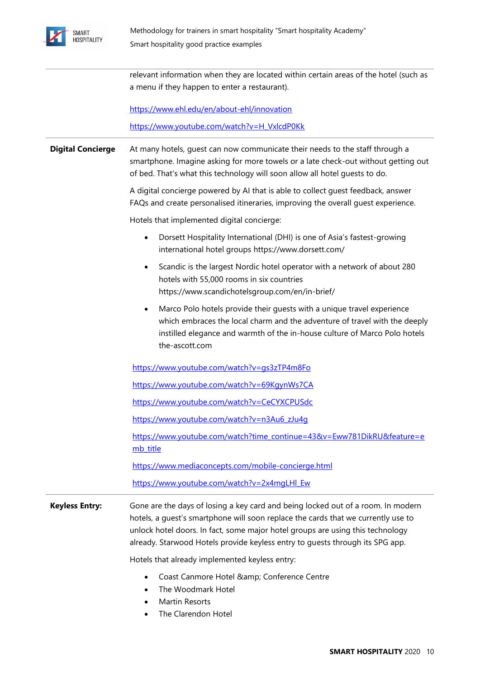

|                          | relevant information when they are located within certain areas of the hotel (such as<br>a menu if they happen to enter a restaurant).                                                                                                                                                                                                   |
|--------------------------|------------------------------------------------------------------------------------------------------------------------------------------------------------------------------------------------------------------------------------------------------------------------------------------------------------------------------------------|
|                          | https://www.ehl.edu/en/about-ehl/innovation                                                                                                                                                                                                                                                                                              |
|                          | https://www.youtube.com/watch?v=H VxlcdP0Kk                                                                                                                                                                                                                                                                                              |
| <b>Digital Concierge</b> | At many hotels, quest can now communicate their needs to the staff through a<br>smartphone. Imagine asking for more towels or a late check-out without getting out<br>of bed. That's what this technology will soon allow all hotel guests to do.                                                                                        |
|                          | A digital concierge powered by AI that is able to collect guest feedback, answer<br>FAQs and create personalised itineraries, improving the overall guest experience.                                                                                                                                                                    |
|                          | Hotels that implemented digital concierge:                                                                                                                                                                                                                                                                                               |
|                          | Dorsett Hospitality International (DHI) is one of Asia's fastest-growing<br>$\bullet$<br>international hotel groups https://www.dorsett.com/                                                                                                                                                                                             |
|                          | Scandic is the largest Nordic hotel operator with a network of about 280<br>$\bullet$<br>hotels with 55,000 rooms in six countries<br>https://www.scandichotelsgroup.com/en/in-brief/                                                                                                                                                    |
|                          | Marco Polo hotels provide their guests with a unique travel experience<br>$\bullet$<br>which embraces the local charm and the adventure of travel with the deeply<br>instilled elegance and warmth of the in-house culture of Marco Polo hotels<br>the-ascott.com                                                                        |
|                          | https://www.youtube.com/watch?v=gs3zTP4m8Fo                                                                                                                                                                                                                                                                                              |
|                          | https://www.youtube.com/watch?v=69KgynWs7CA                                                                                                                                                                                                                                                                                              |
|                          | https://www.youtube.com/watch?v=CeCYXCPUSdc                                                                                                                                                                                                                                                                                              |
|                          | https://www.youtube.com/watch?v=n3Au6 zJu4g                                                                                                                                                                                                                                                                                              |
|                          | https://www.youtube.com/watch?time_continue=43&v=Eww781DikRU&feature=e<br>mb title                                                                                                                                                                                                                                                       |
|                          | https://www.mediaconcepts.com/mobile-concierge.html                                                                                                                                                                                                                                                                                      |
|                          | https://www.youtube.com/watch?v=2x4mgLHI Ew                                                                                                                                                                                                                                                                                              |
| <b>Keyless Entry:</b>    | Gone are the days of losing a key card and being locked out of a room. In modern<br>hotels, a guest's smartphone will soon replace the cards that we currently use to<br>unlock hotel doors. In fact, some major hotel groups are using this technology<br>already. Starwood Hotels provide keyless entry to guests through its SPG app. |
|                          | Hotels that already implemented keyless entry:                                                                                                                                                                                                                                                                                           |
|                          | Coast Canmore Hotel & Conference Centre<br>$\bullet$<br>The Woodmark Hotel<br>$\bullet$<br>Martin Resorts<br>The Clarendon Hotel<br>$\bullet$                                                                                                                                                                                            |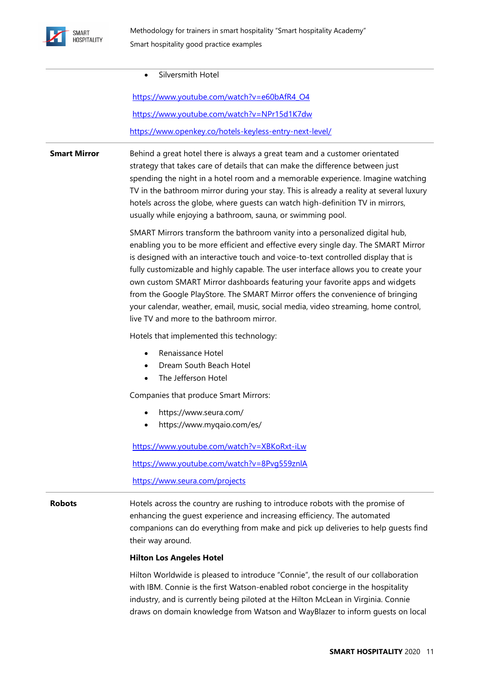

|  | Silversmith Hotel |  |
|--|-------------------|--|
|--|-------------------|--|

https://www.youtube.com/watch?v=e60bAfR4\_O4 https://www.youtube.com/watch?v=NPr15d1K7dw https://www.openkey.co/hotels-keyless-entry-next-level/

**Smart Mirror** Behind a great hotel there is always a great team and a customer orientated strategy that takes care of details that can make the difference between just spending the night in a hotel room and a memorable experience. Imagine watching TV in the bathroom mirror during your stay. This is already a reality at several luxury hotels across the globe, where guests can watch high-definition TV in mirrors, usually while enjoying a bathroom, sauna, or swimming pool.

> SMART Mirrors transform the bathroom vanity into a personalized digital hub, enabling you to be more efficient and effective every single day. The SMART Mirror is designed with an interactive touch and voice-to-text controlled display that is fully customizable and highly capable. The user interface allows you to create your own custom SMART Mirror dashboards featuring your favorite apps and widgets from the Google PlayStore. The SMART Mirror offers the convenience of bringing your calendar, weather, email, music, social media, video streaming, home control, live TV and more to the bathroom mirror.

Hotels that implemented this technology:

- Renaissance Hotel
- Dream South Beach Hotel
- The Jefferson Hotel

Companies that produce Smart Mirrors:

- https://www.seura.com/
- https://www.myqaio.com/es/

https://www.youtube.com/watch?v=XBKoRxt-iLw

https://www.youtube.com/watch?v=8Pvg559znlA

https://www.seura.com/projects

**Robots Hotels** across the country are rushing to introduce robots with the promise of enhancing the guest experience and increasing efficiency. The automated companions can do everything from make and pick up deliveries to help guests find their way around.

### **Hilton Los Angeles Hotel**

Hilton Worldwide is pleased to introduce "Connie", the result of our collaboration with IBM. Connie is the first Watson-enabled robot concierge in the hospitality industry, and is currently being piloted at the Hilton McLean in Virginia. Connie draws on domain knowledge from Watson and WayBlazer to inform guests on local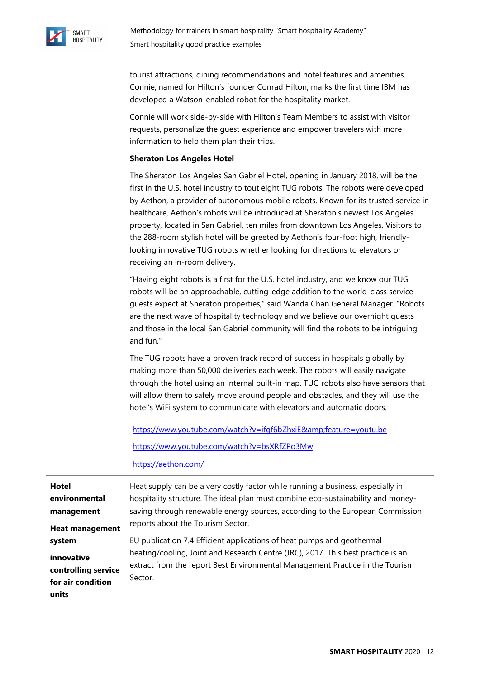

tourist attractions, dining recommendations and hotel features and amenities. Connie, named for Hilton's founder Conrad Hilton, marks the first time IBM has developed a Watson-enabled robot for the hospitality market.

Connie will work side-by-side with Hilton's Team Members to assist with visitor requests, personalize the guest experience and empower travelers with more information to help them plan their trips.

### **Sheraton Los Angeles Hotel**

The Sheraton Los Angeles San Gabriel Hotel, opening in January 2018, will be the first in the U.S. hotel industry to tout eight TUG robots. The robots were developed by Aethon, a provider of autonomous mobile robots. Known for its trusted service in healthcare, Aethon's robots will be introduced at Sheraton's newest Los Angeles property, located in San Gabriel, ten miles from downtown Los Angeles. Visitors to the 288-room stylish hotel will be greeted by Aethon's four-foot high, friendlylooking innovative TUG robots whether looking for directions to elevators or receiving an in-room delivery.

"Having eight robots is a first for the U.S. hotel industry, and we know our TUG robots will be an approachable, cutting-edge addition to the world-class service guests expect at Sheraton properties," said Wanda Chan General Manager. "Robots are the next wave of hospitality technology and we believe our overnight guests and those in the local San Gabriel community will find the robots to be intriguing and fun."

The TUG robots have a proven track record of success in hospitals globally by making more than 50,000 deliveries each week. The robots will easily navigate through the hotel using an internal built-in map. TUG robots also have sensors that will allow them to safely move around people and obstacles, and they will use the hotel's WiFi system to communicate with elevators and automatic doors.

<https://www.youtube.com/watch?v=ifgf6bZhxiE&feature=youtu.be> https://www.youtube.com/watch?v=bsXRfZPo3Mw

https://aethon.com/

| Hotel                             | Heat supply can be a very costly factor while running a business, especially in                                                                                   |
|-----------------------------------|-------------------------------------------------------------------------------------------------------------------------------------------------------------------|
| environmental                     | hospitality structure. The ideal plan must combine eco-sustainability and money-                                                                                  |
| management                        | saving through renewable energy sources, according to the European Commission                                                                                     |
| <b>Heat management</b>            | reports about the Tourism Sector.                                                                                                                                 |
| system                            | EU publication 7.4 Efficient applications of heat pumps and geothermal                                                                                            |
| innovative<br>controlling service | heating/cooling, Joint and Research Centre (JRC), 2017. This best practice is an<br>extract from the report Best Environmental Management Practice in the Tourism |
| for air condition<br>units        | Sector.                                                                                                                                                           |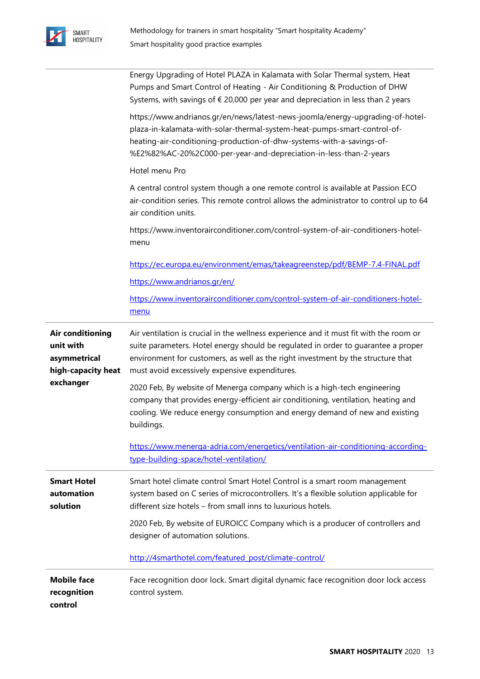

|                                                                     | Energy Upgrading of Hotel PLAZA in Kalamata with Solar Thermal system, Heat<br>Pumps and Smart Control of Heating - Air Conditioning & Production of DHW<br>Systems, with savings of $\epsilon$ 20,000 per year and depreciation in less than 2 years                                                             |
|---------------------------------------------------------------------|-------------------------------------------------------------------------------------------------------------------------------------------------------------------------------------------------------------------------------------------------------------------------------------------------------------------|
|                                                                     | https://www.andrianos.gr/en/news/latest-news-joomla/energy-upgrading-of-hotel-<br>plaza-in-kalamata-with-solar-thermal-system-heat-pumps-smart-control-of-<br>heating-air-conditioning-production-of-dhw-systems-with-a-savings-of-<br>%E2%82%AC-20%2C000-per-year-and-depreciation-in-less-than-2-years          |
|                                                                     | Hotel menu Pro                                                                                                                                                                                                                                                                                                    |
|                                                                     | A central control system though a one remote control is available at Passion ECO<br>air-condition series. This remote control allows the administrator to control up to 64<br>air condition units.                                                                                                                |
|                                                                     | https://www.inventorairconditioner.com/control-system-of-air-conditioners-hotel-<br>menu                                                                                                                                                                                                                          |
|                                                                     | https://ec.europa.eu/environment/emas/takeagreenstep/pdf/BEMP-7.4-FINAL.pdf                                                                                                                                                                                                                                       |
|                                                                     | https://www.andrianos.gr/en/                                                                                                                                                                                                                                                                                      |
|                                                                     | https://www.inventorairconditioner.com/control-system-of-air-conditioners-hotel-<br>menu                                                                                                                                                                                                                          |
| Air conditioning<br>unit with<br>asymmetrical<br>high-capacity heat | Air ventilation is crucial in the wellness experience and it must fit with the room or<br>suite parameters. Hotel energy should be regulated in order to guarantee a proper<br>environment for customers, as well as the right investment by the structure that<br>must avoid excessively expensive expenditures. |
| exchanger                                                           | 2020 Feb, By website of Menerga company which is a high-tech engineering<br>company that provides energy-efficient air conditioning, ventilation, heating and<br>cooling. We reduce energy consumption and energy demand of new and existing<br>buildings.                                                        |
|                                                                     | https://www.menerga-adria.com/energetics/ventilation-air-conditioning-according-<br>type-building-space/hotel-ventilation/                                                                                                                                                                                        |
| <b>Smart Hotel</b><br>automation<br>solution                        | Smart hotel climate control Smart Hotel Control is a smart room management<br>system based on C series of microcontrollers. It's a flexible solution applicable for<br>different size hotels – from small inns to luxurious hotels.                                                                               |
|                                                                     | 2020 Feb, By website of EUROICC Company which is a producer of controllers and<br>designer of automation solutions.                                                                                                                                                                                               |
|                                                                     | http://4smarthotel.com/featured_post/climate-control/                                                                                                                                                                                                                                                             |
| <b>Mobile face</b><br>recognition<br>control                        | Face recognition door lock. Smart digital dynamic face recognition door lock access<br>control system.                                                                                                                                                                                                            |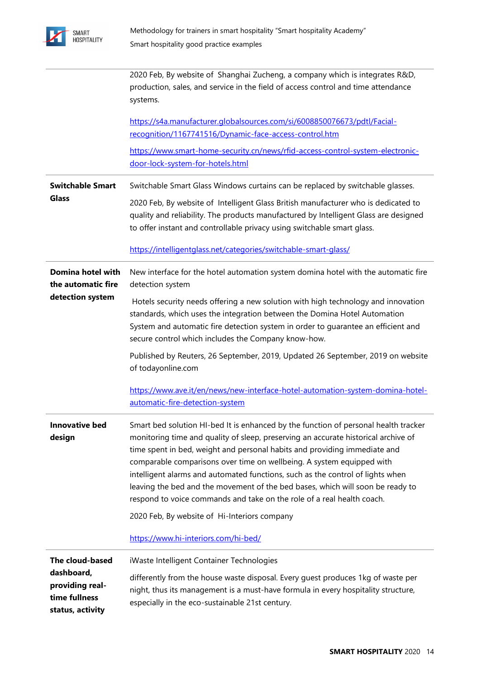

|                                                                    | 2020 Feb, By website of Shanghai Zucheng, a company which is integrates R&D,<br>production, sales, and service in the field of access control and time attendance<br>systems.                                                                                                                                                                                                                                                                                                                                                                                                 |
|--------------------------------------------------------------------|-------------------------------------------------------------------------------------------------------------------------------------------------------------------------------------------------------------------------------------------------------------------------------------------------------------------------------------------------------------------------------------------------------------------------------------------------------------------------------------------------------------------------------------------------------------------------------|
|                                                                    | https://s4a.manufacturer.globalsources.com/si/6008850076673/pdtl/Facial-<br>recognition/1167741516/Dynamic-face-access-control.htm                                                                                                                                                                                                                                                                                                                                                                                                                                            |
|                                                                    | https://www.smart-home-security.cn/news/rfid-access-control-system-electronic-<br>door-lock-system-for-hotels.html                                                                                                                                                                                                                                                                                                                                                                                                                                                            |
| <b>Switchable Smart</b>                                            | Switchable Smart Glass Windows curtains can be replaced by switchable glasses.                                                                                                                                                                                                                                                                                                                                                                                                                                                                                                |
| <b>Glass</b>                                                       | 2020 Feb, By website of Intelligent Glass British manufacturer who is dedicated to<br>quality and reliability. The products manufactured by Intelligent Glass are designed<br>to offer instant and controllable privacy using switchable smart glass.                                                                                                                                                                                                                                                                                                                         |
|                                                                    | https://intelligentglass.net/categories/switchable-smart-glass/                                                                                                                                                                                                                                                                                                                                                                                                                                                                                                               |
| Domina hotel with<br>the automatic fire                            | New interface for the hotel automation system domina hotel with the automatic fire<br>detection system                                                                                                                                                                                                                                                                                                                                                                                                                                                                        |
| detection system                                                   | Hotels security needs offering a new solution with high technology and innovation<br>standards, which uses the integration between the Domina Hotel Automation<br>System and automatic fire detection system in order to guarantee an efficient and<br>secure control which includes the Company know-how.                                                                                                                                                                                                                                                                    |
|                                                                    | Published by Reuters, 26 September, 2019, Updated 26 September, 2019 on website<br>of todayonline.com                                                                                                                                                                                                                                                                                                                                                                                                                                                                         |
|                                                                    | https://www.ave.it/en/news/new-interface-hotel-automation-system-domina-hotel-<br>automatic-fire-detection-system                                                                                                                                                                                                                                                                                                                                                                                                                                                             |
| Innovative bed<br>design                                           | Smart bed solution HI-bed It is enhanced by the function of personal health tracker<br>monitoring time and quality of sleep, preserving an accurate historical archive of<br>time spent in bed, weight and personal habits and providing immediate and<br>comparable comparisons over time on wellbeing. A system equipped with<br>intelligent alarms and automated functions, such as the control of lights when<br>leaving the bed and the movement of the bed bases, which will soon be ready to<br>respond to voice commands and take on the role of a real health coach. |
|                                                                    | 2020 Feb, By website of Hi-Interiors company                                                                                                                                                                                                                                                                                                                                                                                                                                                                                                                                  |
|                                                                    | https://www.hi-interiors.com/hi-bed/                                                                                                                                                                                                                                                                                                                                                                                                                                                                                                                                          |
| The cloud-based                                                    | iWaste Intelligent Container Technologies                                                                                                                                                                                                                                                                                                                                                                                                                                                                                                                                     |
| dashboard,<br>providing real-<br>time fullness<br>status, activity | differently from the house waste disposal. Every guest produces 1kg of waste per<br>night, thus its management is a must-have formula in every hospitality structure,<br>especially in the eco-sustainable 21st century.                                                                                                                                                                                                                                                                                                                                                      |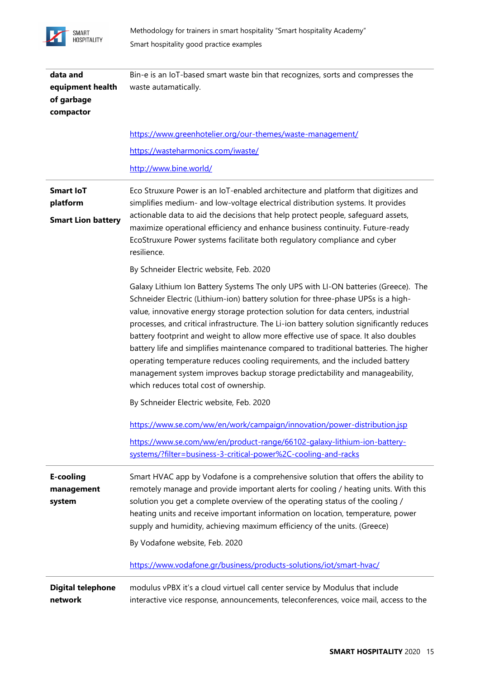

| data and<br>equipment health<br>of garbage<br>compactor   | Bin-e is an IoT-based smart waste bin that recognizes, sorts and compresses the<br>waste autamatically.                                                                                                                                                                                                                                                                                                                                                                                                                                                                                                                                                                                                                                           |
|-----------------------------------------------------------|---------------------------------------------------------------------------------------------------------------------------------------------------------------------------------------------------------------------------------------------------------------------------------------------------------------------------------------------------------------------------------------------------------------------------------------------------------------------------------------------------------------------------------------------------------------------------------------------------------------------------------------------------------------------------------------------------------------------------------------------------|
|                                                           | https://www.greenhotelier.org/our-themes/waste-management/                                                                                                                                                                                                                                                                                                                                                                                                                                                                                                                                                                                                                                                                                        |
|                                                           | https://wasteharmonics.com/iwaste/                                                                                                                                                                                                                                                                                                                                                                                                                                                                                                                                                                                                                                                                                                                |
|                                                           | http://www.bine.world/                                                                                                                                                                                                                                                                                                                                                                                                                                                                                                                                                                                                                                                                                                                            |
| <b>Smart loT</b><br>platform<br><b>Smart Lion battery</b> | Eco Struxure Power is an IoT-enabled architecture and platform that digitizes and<br>simplifies medium- and low-voltage electrical distribution systems. It provides<br>actionable data to aid the decisions that help protect people, safeguard assets,<br>maximize operational efficiency and enhance business continuity. Future-ready<br>EcoStruxure Power systems facilitate both regulatory compliance and cyber<br>resilience.                                                                                                                                                                                                                                                                                                             |
|                                                           | By Schneider Electric website, Feb. 2020                                                                                                                                                                                                                                                                                                                                                                                                                                                                                                                                                                                                                                                                                                          |
|                                                           | Galaxy Lithium Ion Battery Systems The only UPS with LI-ON batteries (Greece). The<br>Schneider Electric (Lithium-ion) battery solution for three-phase UPSs is a high-<br>value, innovative energy storage protection solution for data centers, industrial<br>processes, and critical infrastructure. The Li-ion battery solution significantly reduces<br>battery footprint and weight to allow more effective use of space. It also doubles<br>battery life and simplifies maintenance compared to traditional batteries. The higher<br>operating temperature reduces cooling requirements, and the included battery<br>management system improves backup storage predictability and manageability,<br>which reduces total cost of ownership. |
|                                                           | By Schneider Electric website, Feb. 2020                                                                                                                                                                                                                                                                                                                                                                                                                                                                                                                                                                                                                                                                                                          |
|                                                           | https://www.se.com/ww/en/work/campaign/innovation/power-distribution.jsp                                                                                                                                                                                                                                                                                                                                                                                                                                                                                                                                                                                                                                                                          |
|                                                           | https://www.se.com/ww/en/product-range/66102-galaxy-lithium-ion-battery-<br>systems/?filter=business-3-critical-power%2C-cooling-and-racks                                                                                                                                                                                                                                                                                                                                                                                                                                                                                                                                                                                                        |
| <b>E-cooling</b><br>management<br>system                  | Smart HVAC app by Vodafone is a comprehensive solution that offers the ability to<br>remotely manage and provide important alerts for cooling / heating units. With this<br>solution you get a complete overview of the operating status of the cooling /<br>heating units and receive important information on location, temperature, power<br>supply and humidity, achieving maximum efficiency of the units. (Greece)<br>By Vodafone website, Feb. 2020                                                                                                                                                                                                                                                                                        |
|                                                           | https://www.vodafone.gr/business/products-solutions/iot/smart-hvac/                                                                                                                                                                                                                                                                                                                                                                                                                                                                                                                                                                                                                                                                               |
| <b>Digital telephone</b><br>network                       | modulus vPBX it's a cloud virtuel call center service by Modulus that include<br>interactive vice response, announcements, teleconferences, voice mail, access to the                                                                                                                                                                                                                                                                                                                                                                                                                                                                                                                                                                             |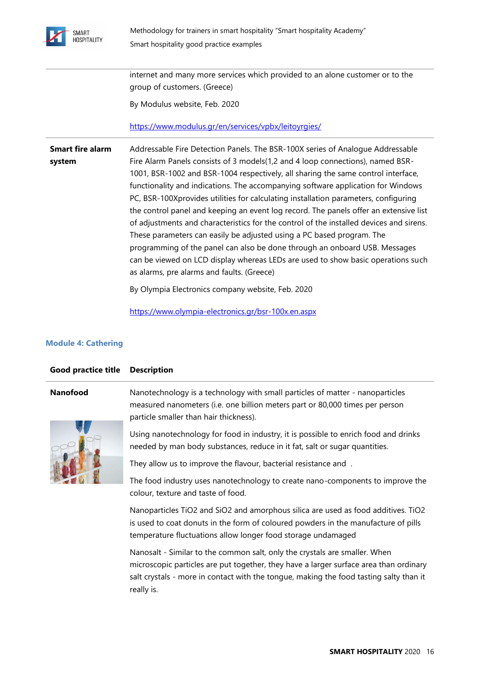

internet and many more services which provided to an alone customer or to the group of customers. (Greece) By Modulus website, Feb. 2020

<https://www.modulus.gr/en/services/vpbx/leitoyrgies/>

**Smart fire alarm system** [Addressable Fire Detection Panels.](https://www.olympia-electronics.gr/bsr-100x.en.aspx) The BSR-100X series of Analogue Addressable Fire Alarm Panels consists of 3 models(1,2 and 4 loop connections), named BSR-1001, BSR-1002 and BSR-1004 respectively, all sharing the same control interface, functionality and indications. The accompanying software application for Windows PC, BSR-100Xprovides utilities for calculating installation parameters, configuring the control panel and keeping an event log record. The panels offer an extensive list of adjustments and characteristics for the control of the installed devices and sirens. These parameters can easily be adjusted using a PC based program. The programming of the panel can also be done through an onboard USB. Messages can be viewed on LCD display whereas LEDs are used to show basic operations such as alarms, pre alarms and faults. (Greece)

By Olympia Electronics company website, Feb. 2020

<https://www.olympia-electronics.gr/bsr-100x.en.aspx>

### **Module 4: Cathering**

| <b>Good practice title</b> | <b>Description</b>                                                                                                                                                                                                                                                          |
|----------------------------|-----------------------------------------------------------------------------------------------------------------------------------------------------------------------------------------------------------------------------------------------------------------------------|
| <b>Nanofood</b>            | Nanotechnology is a technology with small particles of matter - nanoparticles<br>measured nanometers (i.e. one billion meters part or 80,000 times per person<br>particle smaller than hair thickness).                                                                     |
|                            | Using nanotechnology for food in industry, it is possible to enrich food and drinks<br>needed by man body substances, reduce in it fat, salt or sugar quantities.                                                                                                           |
|                            | They allow us to improve the flavour, bacterial resistance and.                                                                                                                                                                                                             |
|                            | The food industry uses nanotechnology to create nano-components to improve the<br>colour, texture and taste of food.                                                                                                                                                        |
|                            | Nanoparticles TiO2 and SiO2 and amorphous silica are used as food additives. TiO2<br>is used to coat donuts in the form of coloured powders in the manufacture of pills<br>temperature fluctuations allow longer food storage undamaged                                     |
|                            | Nanosalt - Similar to the common salt, only the crystals are smaller. When<br>microscopic particles are put together, they have a larger surface area than ordinary<br>salt crystals - more in contact with the tongue, making the food tasting salty than it<br>really is. |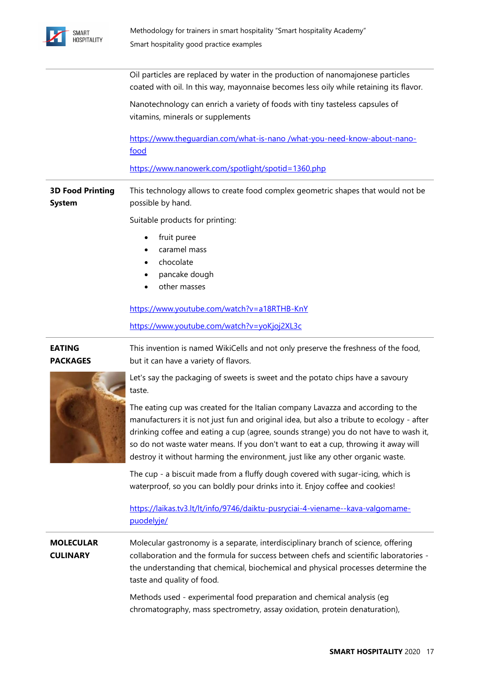

Oil particles are replaced by water in the production of nanomajonese particles coated with oil. In this way, mayonnaise becomes less oily while retaining its flavor.

Nanotechnology can enrich a variety of foods with tiny tasteless capsules of vitamins, minerals or supplements

[https://www.theguardian.com/what-is-nano /what-you-need-know-about-nano](https://www.theguardian.com/what-is-nano%20/what-you-need-know-about-nano-food)[food](https://www.theguardian.com/what-is-nano%20/what-you-need-know-about-nano-food)

<https://www.nanowerk.com/spotlight/spotid=1360.php>

**3D Food Printing System**  This technology allows to create food complex geometric shapes that would not be possible by hand.

Suitable products for printing:

- fruit puree
- caramel mass
- chocolate
- pancake dough
- other masses

<https://www.youtube.com/watch?v=a18RTHB-KnY>

<https://www.youtube.com/watch?v=yoKjoj2XL3c>

**EATING PACKAGES** This invention is named WikiCells and not only preserve the freshness of the food, but it can have a variety of flavors.



Let's say the packaging of sweets is sweet and the potato chips have a savoury taste.

The eating cup was created for the Italian company Lavazza and according to the manufacturers it is not just fun and original idea, but also a tribute to ecology - after drinking coffee and eating a cup (agree, sounds strange) you do not have to wash it, so do not waste water means. If you don't want to eat a cup, throwing it away will destroy it without harming the environment, just like any other organic waste.

The cup - a biscuit made from a fluffy dough covered with sugar-icing, which is waterproof, so you can boldly pour drinks into it. Enjoy coffee and cookies!

[https://laikas.tv3.lt/lt/info/9746/daiktu-pusryciai-4-viename--kava-valgomame](https://laikas.tv3.lt/lt/info/9746/daiktu-pusryciai-4-viename--kava-valgomame-puodelyje/)[puodelyje/](https://laikas.tv3.lt/lt/info/9746/daiktu-pusryciai-4-viename--kava-valgomame-puodelyje/)

**MOLECULAR CULINARY** Molecular gastronomy is a separate, interdisciplinary branch of science, offering collaboration and the formula for success between chefs and scientific laboratories the understanding that chemical, biochemical and physical processes determine the taste and quality of food.

> Methods used - experimental food preparation and chemical analysis (eg chromatography, mass spectrometry, assay oxidation, protein denaturation),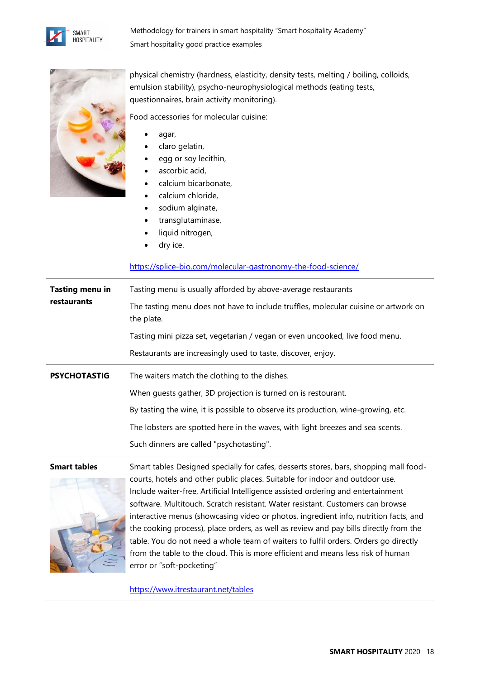



physical chemistry (hardness, elasticity, density tests, melting / boiling, colloids, emulsion stability), psycho-neurophysiological methods (eating tests, questionnaires, brain activity monitoring).

Food accessories for molecular cuisine:

- agar,
- claro gelatin,
- egg or soy lecithin,
- ascorbic acid,
- calcium bicarbonate,
- calcium chloride,
- sodium alginate,
- transglutaminase,
- liquid nitrogen,
- dry ice.

<https://splice-bio.com/molecular-gastronomy-the-food-science/>

| Tasting menu in<br>restaurants | Tasting menu is usually afforded by above-average restaurants                                     |
|--------------------------------|---------------------------------------------------------------------------------------------------|
|                                | The tasting menu does not have to include truffles, molecular cuisine or artwork on<br>the plate. |
|                                | Tasting mini pizza set, vegetarian / vegan or even uncooked, live food menu.                      |
|                                | Restaurants are increasingly used to taste, discover, enjoy.                                      |
|                                |                                                                                                   |
| <b>PSYCHOTASTIG</b>            | The waiters match the clothing to the dishes.                                                     |
|                                | When quests gather, 3D projection is turned on is restourant.                                     |
|                                | By tasting the wine, it is possible to observe its production, wine-growing, etc.                 |
|                                | The lobsters are spotted here in the waves, with light breezes and sea scents.                    |



**Smart tables** Smart tables Designed specially for cafes, desserts stores, bars, shopping mall foodcourts, hotels and other public places. Suitable for indoor and outdoor use. Include waiter-free, Artificial Intelligence assisted ordering and entertainment software. Multitouch. Scratch resistant. Water resistant. Customers can browse interactive menus (showcasing video or photos, ingredient info, nutrition facts, and the cooking process), place orders, as well as review and pay bills directly from the table. You do not need a whole team of waiters to fulfil orders. Orders go directly from the table to the cloud. This is more efficient and means less risk of human error or "soft-pocketing"

<https://www.itrestaurant.net/tables>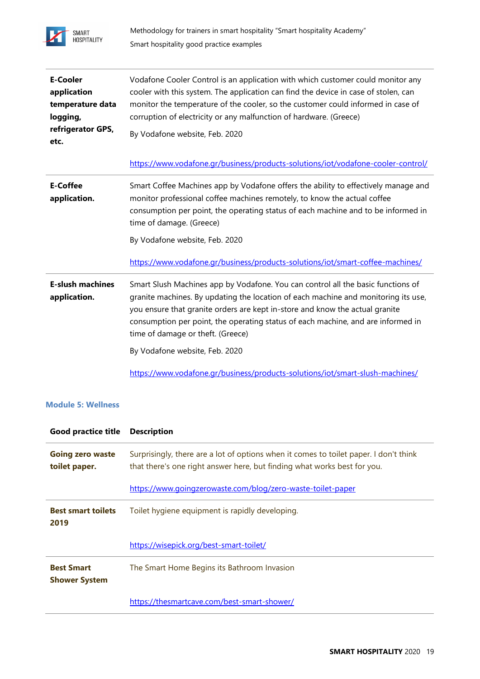

| <b>E-Cooler</b><br>application<br>temperature data<br>logging,<br>refrigerator GPS,<br>etc. | Vodafone Cooler Control is an application with which customer could monitor any<br>cooler with this system. The application can find the device in case of stolen, can<br>monitor the temperature of the cooler, so the customer could informed in case of<br>corruption of electricity or any malfunction of hardware. (Greece)<br>By Vodafone website, Feb. 2020                                                                                                                                 |
|---------------------------------------------------------------------------------------------|----------------------------------------------------------------------------------------------------------------------------------------------------------------------------------------------------------------------------------------------------------------------------------------------------------------------------------------------------------------------------------------------------------------------------------------------------------------------------------------------------|
|                                                                                             | https://www.vodafone.gr/business/products-solutions/iot/vodafone-cooler-control/                                                                                                                                                                                                                                                                                                                                                                                                                   |
| <b>E-Coffee</b><br>application.                                                             | Smart Coffee Machines app by Vodafone offers the ability to effectively manage and<br>monitor professional coffee machines remotely, to know the actual coffee<br>consumption per point, the operating status of each machine and to be informed in<br>time of damage. (Greece)<br>By Vodafone website, Feb. 2020<br>https://www.vodafone.gr/business/products-solutions/iot/smart-coffee-machines/                                                                                                |
| <b>E-slush machines</b><br>application.                                                     | Smart Slush Machines app by Vodafone. You can control all the basic functions of<br>granite machines. By updating the location of each machine and monitoring its use,<br>you ensure that granite orders are kept in-store and know the actual granite<br>consumption per point, the operating status of each machine, and are informed in<br>time of damage or theft. (Greece)<br>By Vodafone website, Feb. 2020<br>https://www.vodafone.gr/business/products-solutions/iot/smart-slush-machines/ |

# **Module 5: Wellness**

| <b>Good practice title</b>                | <b>Description</b>                                                                                                                                                |
|-------------------------------------------|-------------------------------------------------------------------------------------------------------------------------------------------------------------------|
| <b>Going zero waste</b><br>toilet paper.  | Surprisingly, there are a lot of options when it comes to toilet paper. I don't think<br>that there's one right answer here, but finding what works best for you. |
|                                           | https://www.goingzerowaste.com/blog/zero-waste-toilet-paper                                                                                                       |
| <b>Best smart toilets</b><br>2019         | Toilet hygiene equipment is rapidly developing.                                                                                                                   |
|                                           | https://wisepick.org/best-smart-toilet/                                                                                                                           |
| <b>Best Smart</b><br><b>Shower System</b> | The Smart Home Begins its Bathroom Invasion                                                                                                                       |
|                                           | https://thesmartcave.com/best-smart-shower/                                                                                                                       |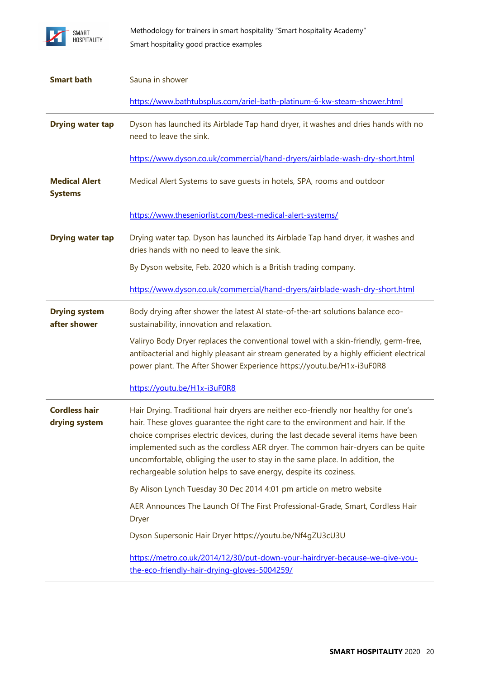

| <b>Smart bath</b>                      | Sauna in shower                                                                                                                                                                                                                                                                                                                                                                                                                                                                                     |
|----------------------------------------|-----------------------------------------------------------------------------------------------------------------------------------------------------------------------------------------------------------------------------------------------------------------------------------------------------------------------------------------------------------------------------------------------------------------------------------------------------------------------------------------------------|
|                                        | https://www.bathtubsplus.com/ariel-bath-platinum-6-kw-steam-shower.html                                                                                                                                                                                                                                                                                                                                                                                                                             |
| <b>Drying water tap</b>                | Dyson has launched its Airblade Tap hand dryer, it washes and dries hands with no<br>need to leave the sink.                                                                                                                                                                                                                                                                                                                                                                                        |
|                                        | https://www.dyson.co.uk/commercial/hand-dryers/airblade-wash-dry-short.html                                                                                                                                                                                                                                                                                                                                                                                                                         |
| <b>Medical Alert</b><br><b>Systems</b> | Medical Alert Systems to save guests in hotels, SPA, rooms and outdoor                                                                                                                                                                                                                                                                                                                                                                                                                              |
|                                        | https://www.theseniorlist.com/best-medical-alert-systems/                                                                                                                                                                                                                                                                                                                                                                                                                                           |
| <b>Drying water tap</b>                | Drying water tap. Dyson has launched its Airblade Tap hand dryer, it washes and<br>dries hands with no need to leave the sink.                                                                                                                                                                                                                                                                                                                                                                      |
|                                        | By Dyson website, Feb. 2020 which is a British trading company.                                                                                                                                                                                                                                                                                                                                                                                                                                     |
|                                        | https://www.dyson.co.uk/commercial/hand-dryers/airblade-wash-dry-short.html                                                                                                                                                                                                                                                                                                                                                                                                                         |
| <b>Drying system</b><br>after shower   | Body drying after shower the latest AI state-of-the-art solutions balance eco-<br>sustainability, innovation and relaxation.                                                                                                                                                                                                                                                                                                                                                                        |
|                                        | Valiryo Body Dryer replaces the conventional towel with a skin-friendly, germ-free,<br>antibacterial and highly pleasant air stream generated by a highly efficient electrical<br>power plant. The After Shower Experience https://youtu.be/H1x-i3uF0R8                                                                                                                                                                                                                                             |
|                                        | https://youtu.be/H1x-i3uF0R8                                                                                                                                                                                                                                                                                                                                                                                                                                                                        |
| <b>Cordless hair</b><br>drying system  | Hair Drying. Traditional hair dryers are neither eco-friendly nor healthy for one's<br>hair. These gloves guarantee the right care to the environment and hair. If the<br>choice comprises electric devices, during the last decade several items have been<br>implemented such as the cordless AER dryer. The common hair-dryers can be quite<br>uncomfortable, obliging the user to stay in the same place. In addition, the<br>rechargeable solution helps to save energy, despite its coziness. |
|                                        | By Alison Lynch Tuesday 30 Dec 2014 4:01 pm article on metro website                                                                                                                                                                                                                                                                                                                                                                                                                                |
|                                        | AER Announces The Launch Of The First Professional-Grade, Smart, Cordless Hair<br><b>Dryer</b>                                                                                                                                                                                                                                                                                                                                                                                                      |
|                                        | Dyson Supersonic Hair Dryer https://youtu.be/Nf4gZU3cU3U                                                                                                                                                                                                                                                                                                                                                                                                                                            |
|                                        | https://metro.co.uk/2014/12/30/put-down-your-hairdryer-because-we-give-you-<br>the-eco-friendly-hair-drying-gloves-5004259/                                                                                                                                                                                                                                                                                                                                                                         |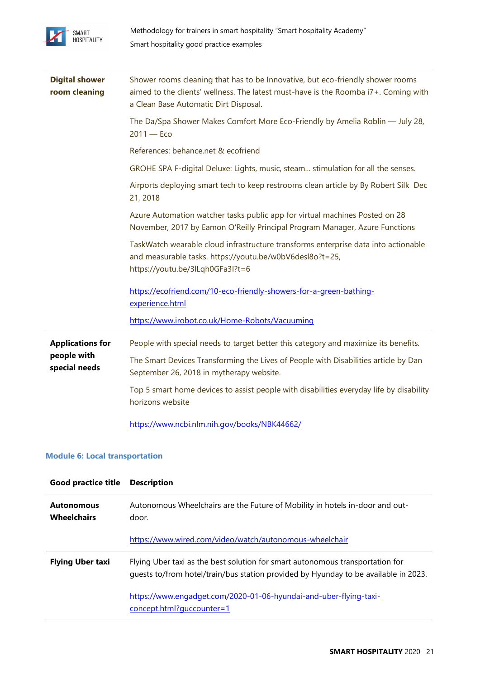

| <b>Digital shower</b><br>room cleaning | Shower rooms cleaning that has to be Innovative, but eco-friendly shower rooms<br>aimed to the clients' wellness. The latest must-have is the Roomba i7+. Coming with<br>a Clean Base Automatic Dirt Disposal. |
|----------------------------------------|----------------------------------------------------------------------------------------------------------------------------------------------------------------------------------------------------------------|
|                                        | The Da/Spa Shower Makes Comfort More Eco-Friendly by Amelia Roblin - July 28,<br>$2011 - Eco$                                                                                                                  |
|                                        | References: behance.net & ecofriend                                                                                                                                                                            |
|                                        | GROHE SPA F-digital Deluxe: Lights, music, steam stimulation for all the senses.                                                                                                                               |
|                                        | Airports deploying smart tech to keep restrooms clean article by By Robert Silk Dec<br>21, 2018                                                                                                                |
|                                        | Azure Automation watcher tasks public app for virtual machines Posted on 28<br>November, 2017 by Eamon O'Reilly Principal Program Manager, Azure Functions                                                     |
|                                        | TaskWatch wearable cloud infrastructure transforms enterprise data into actionable<br>and measurable tasks. https://youtu.be/w0bV6desl8o?t=25,<br>https://youtu.be/3lLqh0GFa3l?t=6                             |
|                                        | https://ecofriend.com/10-eco-friendly-showers-for-a-green-bathing-<br>experience.html                                                                                                                          |
|                                        | https://www.irobot.co.uk/Home-Robots/Vacuuming                                                                                                                                                                 |
| <b>Applications for</b>                | People with special needs to target better this category and maximize its benefits.                                                                                                                            |
| people with<br>special needs           | The Smart Devices Transforming the Lives of People with Disabilities article by Dan<br>September 26, 2018 in mytherapy website.                                                                                |
|                                        | Top 5 smart home devices to assist people with disabilities everyday life by disability<br>horizons website                                                                                                    |
|                                        | https://www.ncbi.nlm.nih.gov/books/NBK44662/                                                                                                                                                                   |

### **Module 6: Local transportation**

| <b>Good practice title</b>              | <b>Description</b>                                                                                                                                                   |
|-----------------------------------------|----------------------------------------------------------------------------------------------------------------------------------------------------------------------|
| <b>Autonomous</b><br><b>Wheelchairs</b> | Autonomous Wheelchairs are the Future of Mobility in hotels in-door and out-<br>door.                                                                                |
|                                         | https://www.wired.com/video/watch/autonomous-wheelchair                                                                                                              |
| <b>Flying Uber taxi</b>                 | Flying Uber taxi as the best solution for smart autonomous transportation for<br>guests to/from hotel/train/bus station provided by Hyunday to be available in 2023. |
|                                         | https://www.engadget.com/2020-01-06-hyundai-and-uber-flying-taxi-<br>concept.html?guccounter=1                                                                       |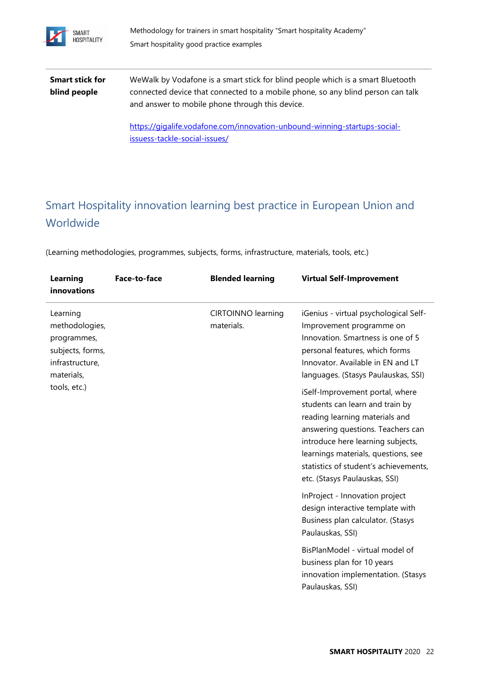

**Smart stick for blind people** [WeWalk](https://gigalife.vodafone.com/innovation-unbound-winning-startups-social-issuess-tackle-social-issues/) by Vodafone is a smart stick for blind people which is a smart Bluetooth connected device that connected to a mobile phone, so any blind person can talk and answer to mobile phone through this device.

> [https://gigalife.vodafone.com/innovation-unbound-winning-startups-social](https://gigalife.vodafone.com/innovation-unbound-winning-startups-social-issuess-tackle-social-issues/)[issuess-tackle-social-issues/](https://gigalife.vodafone.com/innovation-unbound-winning-startups-social-issuess-tackle-social-issues/)

# Smart Hospitality innovation learning best practice in European Union and **Worldwide**

(Learning methodologies, programmes, subjects, forms, infrastructure, materials, tools, etc.)

| <b>Learning</b><br>innovations                                                                                 | Face-to-face | <b>Blended learning</b>                 | <b>Virtual Self-Improvement</b>                                                                                                                                                                                                                                                                 |
|----------------------------------------------------------------------------------------------------------------|--------------|-----------------------------------------|-------------------------------------------------------------------------------------------------------------------------------------------------------------------------------------------------------------------------------------------------------------------------------------------------|
| Learning<br>methodologies,<br>programmes,<br>subjects, forms,<br>infrastructure,<br>materials,<br>tools, etc.) |              | <b>CIRTOINNO learning</b><br>materials. | iGenius - virtual psychological Self-<br>Improvement programme on<br>Innovation. Smartness is one of 5<br>personal features, which forms<br>Innovator. Available in EN and LT<br>languages. (Stasys Paulauskas, SSI)                                                                            |
|                                                                                                                |              |                                         | iSelf-Improvement portal, where<br>students can learn and train by<br>reading learning materials and<br>answering questions. Teachers can<br>introduce here learning subjects,<br>learnings materials, questions, see<br>statistics of student's achievements,<br>etc. (Stasys Paulauskas, SSI) |
|                                                                                                                |              |                                         | InProject - Innovation project<br>design interactive template with<br>Business plan calculator. (Stasys<br>Paulauskas, SSI)                                                                                                                                                                     |
|                                                                                                                |              |                                         | BisPlanModel - virtual model of<br>business plan for 10 years<br>innovation implementation. (Stasys<br>Paulauskas, SSI)                                                                                                                                                                         |